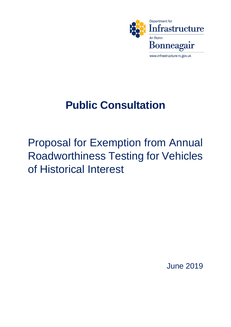

## **Public Consultation**

Proposal for Exemption from Annual Roadworthiness Testing for Vehicles of Historical Interest

June 2019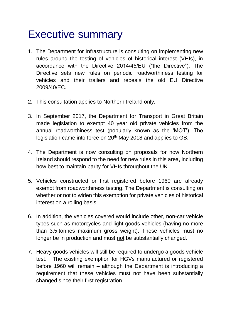## Executive summary

- 1. The Department for Infrastructure is consulting on implementing new rules around the testing of vehicles of historical interest (VHIs), in accordance with the Directive 2014/45/EU ("the Directive"). The Directive sets new rules on periodic roadworthiness testing for vehicles and their trailers and repeals the old EU Directive 2009/40/EC.
- 2. This consultation applies to Northern Ireland only.
- 3. In September 2017, the Department for Transport in Great Britain made legislation to exempt 40 year old private vehicles from the annual roadworthiness test (popularly known as the 'MOT'). The legislation came into force on 20<sup>th</sup> May 2018 and applies to GB.
- 4. The Department is now consulting on proposals for how Northern Ireland should respond to the need for new rules in this area, including how best to maintain parity for VHIs throughout the UK.
- 5. Vehicles constructed or first registered before 1960 are already exempt from roadworthiness testing. The Department is consulting on whether or not to widen this exemption for private vehicles of historical interest on a rolling basis.
- 6. In addition, the vehicles covered would include other, non-car vehicle types such as motorcycles and light goods vehicles (having no more than 3.5 tonnes maximum gross weight). These vehicles must no longer be in production and must not be substantially changed.
- 7. Heavy goods vehicles will still be required to undergo a goods vehicle test. The existing exemption for HGVs manufactured or registered before 1960 will remain – although the Department is introducing a requirement that these vehicles must not have been substantially changed since their first registration.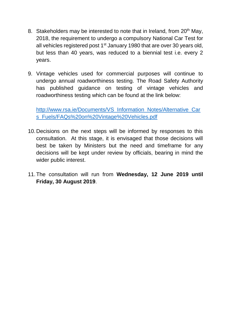- 8. Stakeholders may be interested to note that in Ireland, from  $20<sup>th</sup>$  May, 2018, the requirement to undergo a compulsory National Car Test for all vehicles registered post  $1<sup>st</sup>$  January 1980 that are over 30 years old, but less than 40 years, was reduced to a biennial test i.e. every 2 years.
- 9. Vintage vehicles used for commercial purposes will continue to undergo annual roadworthiness testing. The Road Safety Authority has published guidance on testing of vintage vehicles and roadworthiness testing which can be found at the link below:

[http://www.rsa.ie/Documents/VS\\_Information\\_Notes/Alternative\\_Car](http://www.rsa.ie/Documents/VS_Information_Notes/Alternative_Cars_Fuels/FAQs%20on%20Vintage%20Vehicles.pdf) [s\\_Fuels/FAQs%20on%20Vintage%20Vehicles.pdf](http://www.rsa.ie/Documents/VS_Information_Notes/Alternative_Cars_Fuels/FAQs%20on%20Vintage%20Vehicles.pdf)

- 10.Decisions on the next steps will be informed by responses to this consultation. At this stage, it is envisaged that those decisions will best be taken by Ministers but the need and timeframe for any decisions will be kept under review by officials, bearing in mind the wider public interest.
- 11.The consultation will run from **Wednesday, 12 June 2019 until Friday, 30 August 2019**.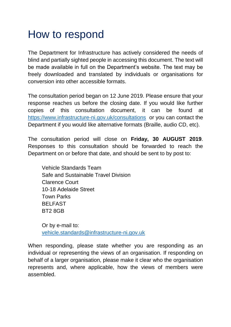## How to respond

The Department for Infrastructure has actively considered the needs of blind and partially sighted people in accessing this document. The text will be made available in full on the Department's website. The text may be freely downloaded and translated by individuals or organisations for conversion into other accessible formats.

The consultation period began on 12 June 2019. Please ensure that your response reaches us before the closing date. If you would like further copies of this consultation document, it can be found at <https://www.infrastructure-ni.gov.uk/consultations>or you can contact the Department if you would like alternative formats (Braille, audio CD, etc).

The consultation period will close on **Friday, 30 AUGUST 2019**. Responses to this consultation should be forwarded to reach the Department on or before that date, and should be sent to by post to:

Vehicle Standards Team Safe and Sustainable Travel Division Clarence Court 10-18 Adelaide Street Town Parks BELFAST BT2 8GB

Or by e-mail to: [vehicle.standards@infrastructure-ni.gov.uk](mailto:vehicle.standards@infrastructure-ni.gov.uk)

When responding, please state whether you are responding as an individual or representing the views of an organisation. If responding on behalf of a larger organisation, please make it clear who the organisation represents and, where applicable, how the views of members were assembled.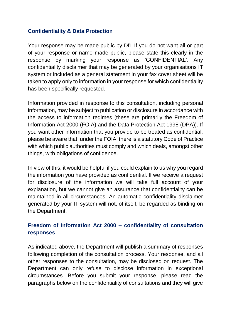#### **Confidentiality & Data Protection**

Your response may be made public by DfI. If you do not want all or part of your response or name made public, please state this clearly in the response by marking your response as 'CONFIDENTIAL'. Any confidentiality disclaimer that may be generated by your organisations IT system or included as a general statement in your fax cover sheet will be taken to apply only to information in your response for which confidentiality has been specifically requested.

Information provided in response to this consultation, including personal information, may be subject to publication or disclosure in accordance with the access to information regimes (these are primarily the Freedom of Information Act 2000 (FOIA) and the Data Protection Act 1998 (DPA)). If you want other information that you provide to be treated as confidential, please be aware that, under the FOIA, there is a statutory Code of Practice with which public authorities must comply and which deals, amongst other things, with obligations of confidence.

In view of this, it would be helpful if you could explain to us why you regard the information you have provided as confidential. If we receive a request for disclosure of the information we will take full account of your explanation, but we cannot give an assurance that confidentiality can be maintained in all circumstances. An automatic confidentiality disclaimer generated by your IT system will not, of itself, be regarded as binding on the Department.

#### **Freedom of Information Act 2000 – confidentiality of consultation responses**

As indicated above, the Department will publish a summary of responses following completion of the consultation process. Your response, and all other responses to the consultation, may be disclosed on request. The Department can only refuse to disclose information in exceptional circumstances. Before you submit your response, please read the paragraphs below on the confidentiality of consultations and they will give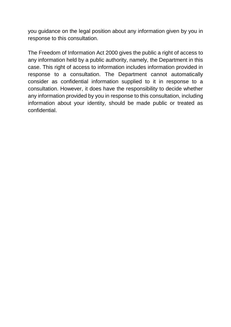you guidance on the legal position about any information given by you in response to this consultation.

The Freedom of Information Act 2000 gives the public a right of access to any information held by a public authority, namely, the Department in this case. This right of access to information includes information provided in response to a consultation. The Department cannot automatically consider as confidential information supplied to it in response to a consultation. However, it does have the responsibility to decide whether any information provided by you in response to this consultation, including information about your identity, should be made public or treated as confidential.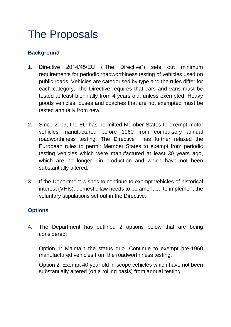## The Proposals

#### **Background**

- 1. Directive 2014/45/EU ("The Directive") sets out minimum requirements for periodic roadworthiness testing of vehicles used on public roads. Vehicles are categorised by type and the rules differ for each category. The Directive requires that cars and vans must be tested at least biennially from 4 years old, unless exempted. Heavy goods vehicles, buses and coaches that are not exempted must be tested annually from new.
- 2. Since 2009, the EU has permitted Member States to exempt motor vehicles manufactured before 1960 from compulsory annual roadworthiness testing. The Directive has further relaxed the European rules to permit Member States to exempt from periodic testing vehicles which were manufactured at least 30 years ago, which are no longer in production and which have not been substantially altered.
- 3. If the Department wishes to continue to exempt vehicles of historical interest (VHIs), domestic law needs to be amended to implement the voluntary stipulations set out in the Directive.

#### **Options**

4. The Department has outlined 2 options below that are being considered:

Option 1: Maintain the status quo. Continue to exempt pre-1960 manufactured vehicles from the roadworthiness testing.

Option 2: Exempt 40 year old in-scope vehicles which have not been substantially altered (on a rolling basis) from annual testing.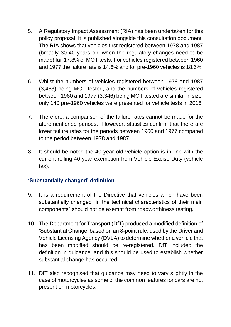- 5. A Regulatory Impact Assessment (RIA) has been undertaken for this policy proposal. It is published alongside this consultation document. The RIA shows that vehicles first registered between 1978 and 1987 (broadly 30-40 years old when the regulatory changes need to be made) fail 17.8% of MOT tests. For vehicles registered between 1960 and 1977 the failure rate is 14.6% and for pre-1960 vehicles is 18.6%.
- 6. Whilst the numbers of vehicles registered between 1978 and 1987 (3,463) being MOT tested, and the numbers of vehicles registered between 1960 and 1977 (3,346) being MOT tested are similar in size, only 140 pre-1960 vehicles were presented for vehicle tests in 2016.
- 7. Therefore, a comparison of the failure rates cannot be made for the aforementioned periods. However, statistics confirm that there are lower failure rates for the periods between 1960 and 1977 compared to the period between 1978 and 1987.
- 8. It should be noted the 40 year old vehicle option is in line with the current rolling 40 year exemption from Vehicle Excise Duty (vehicle tax).

#### **'Substantially changed' definition**

- 9. It is a requirement of the Directive that vehicles which have been substantially changed "in the technical characteristics of their main components" should not be exempt from roadworthiness testing.
- 10. The Department for Transport (DfT) produced a modified definition of 'Substantial Change' based on an 8-point rule, used by the Driver and Vehicle Licensing Agency (DVLA) to determine whether a vehicle that has been modified should be re-registered. DfT included the definition in guidance, and this should be used to establish whether substantial change has occurred.
- 11. DfT also recognised that guidance may need to vary slightly in the case of motorcycles as some of the common features for cars are not present on motorcycles.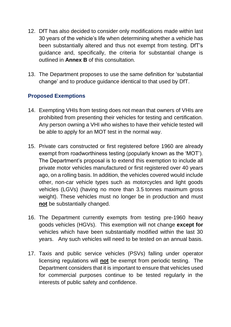- 12. DfT has also decided to consider only modifications made within last 30 years of the vehicle's life when determining whether a vehicle has been substantially altered and thus not exempt from testing. DfT's guidance and, specifically, the criteria for substantial change is outlined in **Annex B** of this consultation.
- 13. The Department proposes to use the same definition for 'substantial change' and to produce guidance identical to that used by DfT.

#### **Proposed Exemptions**

- 14. Exempting VHIs from testing does not mean that owners of VHIs are prohibited from presenting their vehicles for testing and certification. Any person owning a VHI who wishes to have their vehicle tested will be able to apply for an MOT test in the normal way.
- 15. Private cars constructed or first registered before 1960 are already exempt from roadworthiness testing (popularly known as the 'MOT'). The Department's proposal is to extend this exemption to include all private motor vehicles manufactured or first registered over 40 years ago, on a rolling basis. In addition, the vehicles covered would include other, non-car vehicle types such as motorcycles and light goods vehicles (LGVs) (having no more than 3.5 tonnes maximum gross weight). These vehicles must no longer be in production and must **not** be substantially changed.
- 16. The Department currently exempts from testing pre-1960 heavy goods vehicles (HGVs). This exemption will not change **except for**  vehicles which have been substantially modified within the last 30 years. Any such vehicles will need to be tested on an annual basis.
- 17. Taxis and public service vehicles (PSVs) falling under operator licensing regulations will **not** be exempt from periodic testing. The Department considers that it is important to ensure that vehicles used for commercial purposes continue to be tested regularly in the interests of public safety and confidence.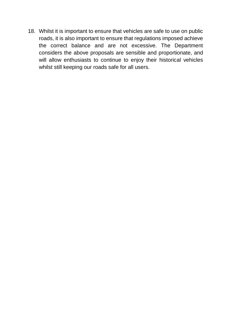18. Whilst it is important to ensure that vehicles are safe to use on public roads, it is also important to ensure that regulations imposed achieve the correct balance and are not excessive. The Department considers the above proposals are sensible and proportionate, and will allow enthusiasts to continue to enjoy their historical vehicles whilst still keeping our roads safe for all users.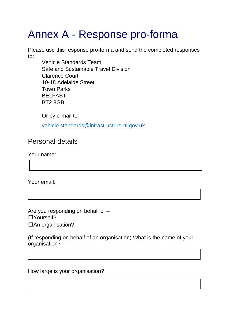# Annex A - Response pro-forma

Please use this response pro-forma and send the completed responses to:

Vehicle Standards Team Safe and Sustainable Travel Division Clarence Court 10-18 Adelaide Street Town Parks BELFAST BT2 8GB

Or by e-mail to:

[vehicle.standards@infrastructure-ni.gov.uk](mailto:safeandsustainabletravel@infrastructure-ni.gov.uk)

### Personal details

Your name:

Your email:

Are you responding on behalf of – ☐Yourself? □An organisation?

(If responding on behalf of an organisation) What is the name of your organisation?

How large is your organisation?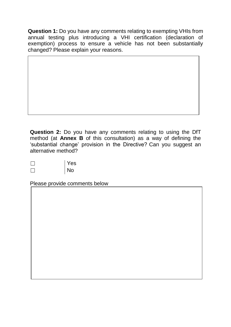**Question 1:** Do you have any comments relating to exempting VHIs from annual testing plus introducing a VHI certification (declaration of exemption) process to ensure a vehicle has not been substantially changed? Please explain your reasons.

**Question 2:** Do you have any comments relating to using the DfT method (at **Annex B** of this consultation) as a way of defining the 'substantial change' provision in the Directive? Can you suggest an alternative method?

| Yes       |
|-----------|
| <b>No</b> |

Please provide comments below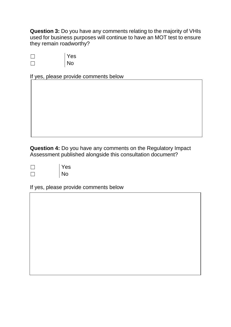**Question 3:** Do you have any comments relating to the majority of VHIs used for business purposes will continue to have an MOT test to ensure they remain roadworthy?

| Yes       |
|-----------|
| <b>No</b> |

If yes, please provide comments below

**Question 4:** Do you have any comments on the Regulatory Impact Assessment published alongside this consultation document?

| Yes |
|-----|
| No  |

If yes, please provide comments below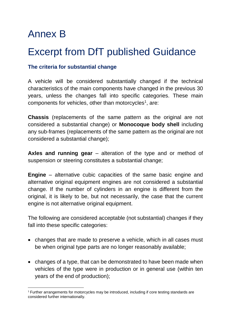### Annex B

### Excerpt from DfT published Guidance

#### **The criteria for substantial change**

A vehicle will be considered substantially changed if the technical characteristics of the main components have changed in the previous 30 years, unless the changes fall into specific categories. These main components for vehicles, other than motorcycles<sup>1</sup>, are:

**Chassis** (replacements of the same pattern as the original are not considered a substantial change) or **Monocoque body shell** including any sub-frames (replacements of the same pattern as the original are not considered a substantial change);

**Axles and running gear** – alteration of the type and or method of suspension or steering constitutes a substantial change;

**Engine** – alternative cubic capacities of the same basic engine and alternative original equipment engines are not considered a substantial change. If the number of cylinders in an engine is different from the original, it is likely to be, but not necessarily, the case that the current engine is not alternative original equipment.

The following are considered acceptable (not substantial) changes if they fall into these specific categories:

- changes that are made to preserve a vehicle, which in all cases must be when original type parts are no longer reasonably available;
- changes of a type, that can be demonstrated to have been made when vehicles of the type were in production or in general use (within ten years of the end of production);

**<sup>.</sup>** <sup>1</sup> Further arrangements for motorcycles may be introduced, including if core testing standards are considered further internationally.